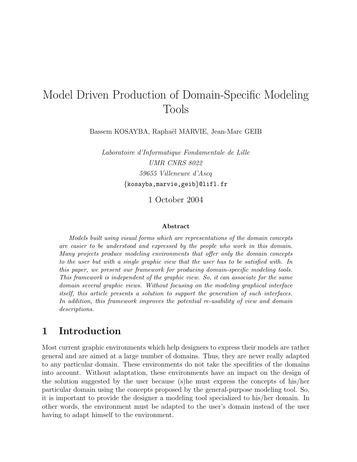# Model Driven Production of Domain-Specific Modeling Tools

Bassem KOSAYBA, Raphaël MARVIE, Jean-Marc GEIB

Laboratoire d'Informatique Fondamentale de Lille UMR CNRS 8022 59655 Villeneuve d'Ascq {kosayba,marvie,geib}@lifl.fr

1 October 2004

#### Abstract

Models built using visual forms which are representations of the domain concepts are easier to be understood and expressed by the people who work in this domain. Many projects produce modeling environments that offer only the domain concepts to the user but with a single graphic view that the user has to be satisfied with. In this paper, we present our framework for producing domain-specific modeling tools. This framework is independent of the graphic view. So, it can associate for the same domain several graphic views. Without focusing on the modeling graphical interface itself, this article presents a solution to support the generation of such interfaces. In addition, this framework improves the potential re-usability of view and domain descriptions.

# 1 Introduction

Most current graphic environments which help designers to express their models are rather general and are aimed at a large number of domains. Thus, they are never really adapted to any particular domain. These environments do not take the specifities of the domains into account. Without adaptation, these environments have an impact on the design of the solution suggested by the user because (s)he must express the concepts of his/her particular domain using the concepts proposed by the general-purpose modeling tool. So, it is important to provide the designer a modeling tool specialized to his/her domain. In other words, the environment must be adapted to the user's domain instead of the user having to adapt himself to the environment.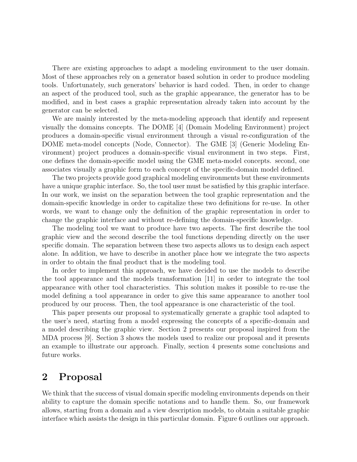There are existing approaches to adapt a modeling environment to the user domain. Most of these approaches rely on a generator based solution in order to produce modeling tools. Unfortunately, such generators' behavior is hard coded. Then, in order to change an aspect of the produced tool, such as the graphic appearance, the generator has to be modified, and in best cases a graphic representation already taken into account by the generator can be selected.

We are mainly interested by the meta-modeling approach that identify and represent visually the domains concepts. The DOME [4] (Domain Modeling Environment) project produces a domain-specific visual environment through a visual re-configuration of the DOME meta-model concepts (Node, Connector). The GME [3] (Generic Modeling Environment) project produces a domain-specific visual environment in two steps. First, one defines the domain-specific model using the GME meta-model concepts. second, one associates visually a graphic form to each concept of the specific-domain model defined.

The two projects provide good graphical modeling environments but these environments have a unique graphic interface. So, the tool user must be satisfied by this graphic interface. In our work, we insist on the separation between the tool graphic representation and the domain-specific knowledge in order to capitalize these two definitions for re-use. In other words, we want to change only the definition of the graphic representation in order to change the graphic interface and without re-defining the domain-specific knowledge.

The modeling tool we want to produce have two aspects. The first describe the tool graphic view and the second describe the tool functions depending directly on the user specific domain. The separation between these two aspects allows us to design each aspect alone. In addition, we have to describe in another place how we integrate the two aspects in order to obtain the final product that is the modeling tool.

In order to implement this approach, we have decided to use the models to describe the tool appearance and the models transformation [11] in order to integrate the tool appearance with other tool characteristics. This solution makes it possible to re-use the model defining a tool appearance in order to give this same appearance to another tool produced by our process. Then, the tool appearance is one characteristic of the tool.

This paper presents our proposal to systematically generate a graphic tool adapted to the user's need, starting from a model expressing the concepts of a specific-domain and a model describing the graphic view. Section 2 presents our proposal inspired from the MDA process [9]. Section 3 shows the models used to realize our proposal and it presents an example to illustrate our approach. Finally, section 4 presents some conclusions and future works.

# 2 Proposal

We think that the success of visual domain specific modeling environments depends on their ability to capture the domain specific notations and to handle them. So, our framework allows, starting from a domain and a view description models, to obtain a suitable graphic interface which assists the design in this particular domain. Figure 6 outlines our approach.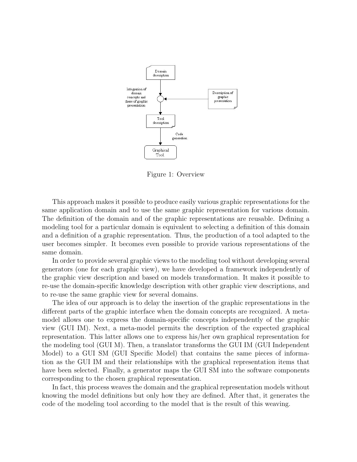

Figure 1: Overview

This approach makes it possible to produce easily various graphic representations for the same application domain and to use the same graphic representation for various domain. The definition of the domain and of the graphic representations are reusable. Defining a modeling tool for a particular domain is equivalent to selecting a definition of this domain and a definition of a graphic representation. Thus, the production of a tool adapted to the user becomes simpler. It becomes even possible to provide various representations of the same domain.

In order to provide several graphic views to the modeling tool without developing several generators (one for each graphic view), we have developed a framework independently of the graphic view description and based on models transformation. It makes it possible to re-use the domain-specific knowledge description with other graphic view descriptions, and to re-use the same graphic view for several domains.

The idea of our approach is to delay the insertion of the graphic representations in the different parts of the graphic interface when the domain concepts are recognized. A metamodel allows one to express the domain-specific concepts independently of the graphic view (GUI IM). Next, a meta-model permits the description of the expected graphical representation. This latter allows one to express his/her own graphical representation for the modeling tool (GUI M). Then, a translator transforms the GUI IM (GUI Independent Model) to a GUI SM (GUI Specific Model) that contains the same pieces of information as the GUI IM and their relationships with the graphical representation items that have been selected. Finally, a generator maps the GUI SM into the software components corresponding to the chosen graphical representation.

In fact, this process weaves the domain and the graphical representation models without knowing the model definitions but only how they are defined. After that, it generates the code of the modeling tool according to the model that is the result of this weaving.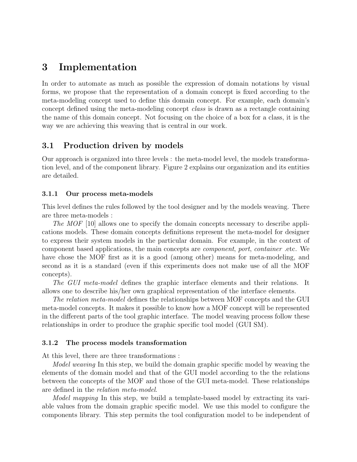# 3 Implementation

In order to automate as much as possible the expression of domain notations by visual forms, we propose that the representation of a domain concept is fixed according to the meta-modeling concept used to define this domain concept. For example, each domain's concept defined using the meta-modeling concept class is drawn as a rectangle containing the name of this domain concept. Not focusing on the choice of a box for a class, it is the way we are achieving this weaving that is central in our work.

### 3.1 Production driven by models

Our approach is organized into three levels : the meta-model level, the models transformation level, and of the component library. Figure 2 explains our organization and its entities are detailed.

### 3.1.1 Our process meta-models

This level defines the rules followed by the tool designer and by the models weaving. There are three meta-models :

The MOF [10] allows one to specify the domain concepts necessary to describe applications models. These domain concepts definitions represent the meta-model for designer to express their system models in the particular domain. For example, in the context of component based applications, the main concepts are component, port, container .etc. We have chose the MOF first as it is a good (among other) means for meta-modeling, and second as it is a standard (even if this experiments does not make use of all the MOF concepts).

The GUI meta-model defines the graphic interface elements and their relations. It allows one to describe his/her own graphical representation of the interface elements.

The relation meta-model defines the relationships between MOF concepts and the GUI meta-model concepts. It makes it possible to know how a MOF concept will be represented in the different parts of the tool graphic interface. The model weaving process follow these relationships in order to produce the graphic specific tool model (GUI SM).

### 3.1.2 The process models transformation

At this level, there are three transformations :

*Model weaving* In this step, we build the domain graphic specific model by weaving the elements of the domain model and that of the GUI model according to the the relations between the concepts of the MOF and those of the GUI meta-model. These relationships are defined in the relation meta-model.

Model mapping In this step, we build a template-based model by extracting its variable values from the domain graphic specific model. We use this model to configure the components library. This step permits the tool configuration model to be independent of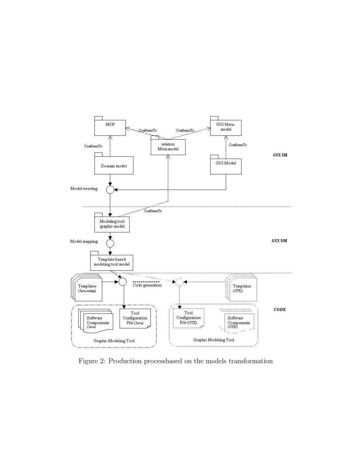

Figure 2: Production processbased on the models transformation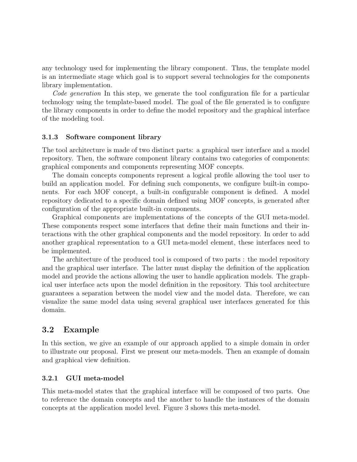any technology used for implementing the library component. Thus, the template model is an intermediate stage which goal is to support several technologies for the components library implementation.

Code generation In this step, we generate the tool configuration file for a particular technology using the template-based model. The goal of the file generated is to configure the library components in order to define the model repository and the graphical interface of the modeling tool.

#### 3.1.3 Software component library

The tool architecture is made of two distinct parts: a graphical user interface and a model repository. Then, the software component library contains two categories of components: graphical components and components representing MOF concepts.

The domain concepts components represent a logical profile allowing the tool user to build an application model. For defining such components, we configure built-in components. For each MOF concept, a built-in configurable component is defined. A model repository dedicated to a specific domain defined using MOF concepts, is generated after configuration of the appropriate built-in components.

Graphical components are implementations of the concepts of the GUI meta-model. These components respect some interfaces that define their main functions and their interactions with the other graphical components and the model repository. In order to add another graphical representation to a GUI meta-model element, these interfaces need to be implemented.

The architecture of the produced tool is composed of two parts : the model repository and the graphical user interface. The latter must display the definition of the application model and provide the actions allowing the user to handle application models. The graphical user interface acts upon the model definition in the repository. This tool architecture guarantees a separation between the model view and the model data. Therefore, we can visualize the same model data using several graphical user interfaces generated for this domain.

### 3.2 Example

In this section, we give an example of our approach applied to a simple domain in order to illustrate our proposal. First we present our meta-models. Then an example of domain and graphical view definition.

#### 3.2.1 GUI meta-model

This meta-model states that the graphical interface will be composed of two parts. One to reference the domain concepts and the another to handle the instances of the domain concepts at the application model level. Figure 3 shows this meta-model.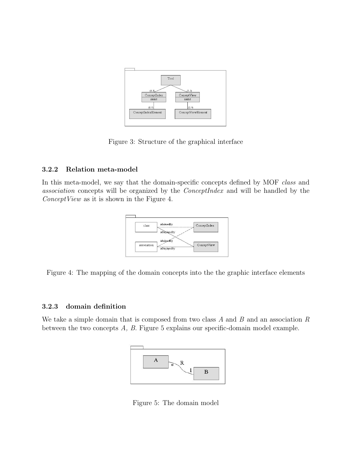

Figure 3: Structure of the graphical interface

### 3.2.2 Relation meta-model

In this meta-model, we say that the domain-specific concepts defined by MOF class and association concepts will be organized by the ConceptIndex and will be handled by the ConceptView as it is shown in the Figure 4.



Figure 4: The mapping of the domain concepts into the the graphic interface elements

#### 3.2.3 domain definition

We take a simple domain that is composed from two class  $A$  and  $B$  and an association  $R$ between the two concepts A, B. Figure 5 explains our specific-domain model example.



Figure 5: The domain model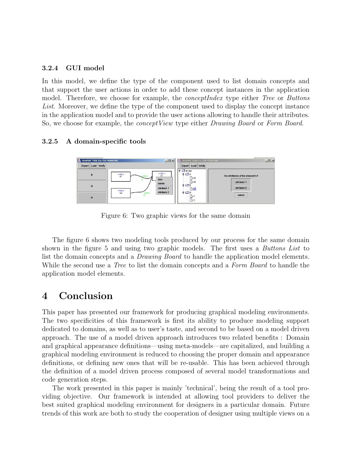#### 3.2.4 GUI model

In this model, we define the type of the component used to list domain concepts and that support the user actions in order to add these concept instances in the application model. Therefore, we choose for example, the *conceptIndex* type either Tree or Buttons List. Moreover, we define the type of the component used to display the concept instance in the application model and to provide the user actions allowing to handle their attributes. So, we choose for example, the *concept View* type either *Drawing Board* or *Form Board*.

#### 3.2.5 A domain-specific tools



Figure 6: Two graphic views for the same domain

The figure 6 shows two modeling tools produced by our process for the same domain shown in the figure 5 and using two graphic models. The first uses a *Buttons List* to list the domain concepts and a *Drawing Board* to handle the application model elements. While the second use a *Tree* to list the domain concepts and a *Form Board* to handle the application model elements.

# 4 Conclusion

This paper has presented our framework for producing graphical modeling environments. The two specificities of this framework is first its ability to produce modeling support dedicated to domains, as well as to user's taste, and second to be based on a model driven approach. The use of a model driven approach introduces two related benefits : Domain and graphical appearance definitions—using meta-models—are capitalized, and building a graphical modeling environment is reduced to choosing the proper domain and appearance definitions, or defining new ones that will be re-usable. This has been achieved through the definition of a model driven process composed of several model transformations and code generation steps.

The work presented in this paper is mainly 'technical', being the result of a tool providing objective. Our framework is intended at allowing tool providers to deliver the best suited graphical modeling environment for designers in a particular domain. Future trends of this work are both to study the cooperation of designer using multiple views on a